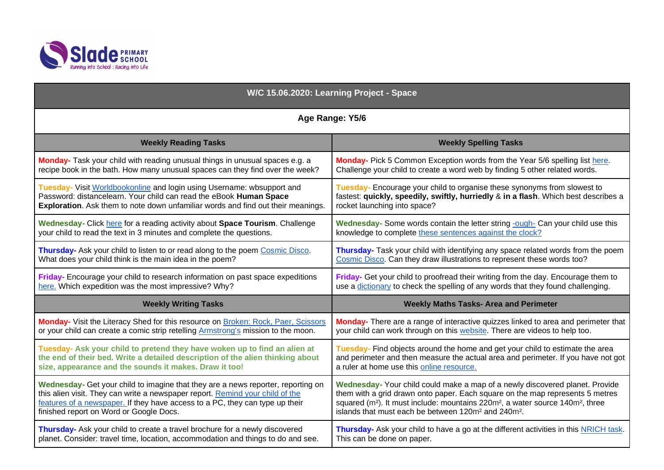

| W/C 15.06.2020: Learning Project - Space                                          |                                                                                                                    |
|-----------------------------------------------------------------------------------|--------------------------------------------------------------------------------------------------------------------|
| Age Range: Y5/6                                                                   |                                                                                                                    |
| <b>Weekly Reading Tasks</b>                                                       | <b>Weekly Spelling Tasks</b>                                                                                       |
| Monday- Task your child with reading unusual things in unusual spaces e.g. a      | Monday- Pick 5 Common Exception words from the Year 5/6 spelling list here.                                        |
| recipe book in the bath. How many unusual spaces can they find over the week?     | Challenge your child to create a word web by finding 5 other related words.                                        |
| Tuesday- Visit Worldbookonline and login using Username: wbsupport and            | Tuesday- Encourage your child to organise these synonyms from slowest to                                           |
| Password: distancelearn. Your child can read the eBook Human Space                | fastest: quickly, speedily, swiftly, hurriedly & in a flash. Which best describes a                                |
| Exploration. Ask them to note down unfamiliar words and find out their meanings.  | rocket launching into space?                                                                                       |
| Wednesday- Click here for a reading activity about Space Tourism. Challenge       | Wednesday- Some words contain the letter string -ough- Can your child use this                                     |
| your child to read the text in 3 minutes and complete the questions.              | knowledge to complete these sentences against the clock?                                                           |
| Thursday- Ask your child to listen to or read along to the poem Cosmic Disco.     | Thursday- Task your child with identifying any space related words from the poem                                   |
| What does your child think is the main idea in the poem?                          | Cosmic Disco. Can they draw illustrations to represent these words too?                                            |
| Friday- Encourage your child to research information on past space expeditions    | Friday- Get your child to proofread their writing from the day. Encourage them to                                  |
| here. Which expedition was the most impressive? Why?                              | use a dictionary to check the spelling of any words that they found challenging.                                   |
| <b>Weekly Writing Tasks</b>                                                       | <b>Weekly Maths Tasks- Area and Perimeter</b>                                                                      |
| Monday- Visit the Literacy Shed for this resource on Broken: Rock, Paer, Scissors | Monday- There are a range of interactive quizzes linked to area and perimeter that                                 |
| or your child can create a comic strip retelling Armstrong's mission to the moon. | your child can work through on this website. There are videos to help too.                                         |
| Tuesday- Ask your child to pretend they have woken up to find an alien at         | Tuesday- Find objects around the home and get your child to estimate the area                                      |
| the end of their bed. Write a detailed description of the alien thinking about    | and perimeter and then measure the actual area and perimeter. If you have not got                                  |
| size, appearance and the sounds it makes. Draw it too!                            | a ruler at home use this online resource.                                                                          |
| Wednesday- Get your child to imagine that they are a news reporter, reporting on  | Wednesday- Your child could make a map of a newly discovered planet. Provide                                       |
| this alien visit. They can write a newspaper report. Remind your child of the     | them with a grid drawn onto paper. Each square on the map represents 5 metres                                      |
| features of a newspaper. If they have access to a PC, they can type up their      | squared (m <sup>2</sup> ). It must include: mountains 220m <sup>2</sup> , a water source 140m <sup>2</sup> , three |
| finished report on Word or Google Docs.                                           | islands that must each be between 120m <sup>2</sup> and 240m <sup>2</sup> .                                        |
| Thursday- Ask your child to create a travel brochure for a newly discovered       | Thursday- Ask your child to have a go at the different activities in this NRICH task.                              |
| planet. Consider: travel time, location, accommodation and things to do and see.  | This can be done on paper.                                                                                         |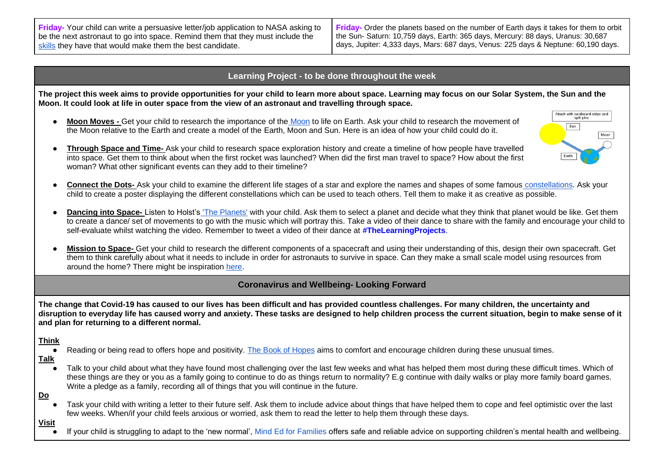**Friday-** Your child can write a persuasive letter/job application to NASA asking to be the next astronaut to go into space. Remind them that they must include the [skills](https://www.spacekids.co.uk/astronauts/) they have that would make them the best candidate.

**Friday-** Order the planets based on the number of Earth days it takes for them to orbit the Sun- Saturn: 10,759 days, Earth: 365 days, Mercury: 88 days, Uranus: 30,687 days, Jupiter: 4,333 days, Mars: 687 days, Venus: 225 days & Neptune: 60,190 days.

## **Learning Project - to be done throughout the week**

**The project this week aims to provide opportunities for your child to learn more about space. Learning may focus on our Solar System, the Sun and the Moon. It could look at life in outer space from the view of an astronaut and travelling through space.** 

● **Moon Moves -** Get your child to research the importance of the [Moon](https://safeyoutube.net/w/miF6) to life on Earth. Ask your child to research the movement of the Moon relative to the Earth and create a model of the Earth, Moon and Sun. Here is an idea of how your child could do it.



- **Through Space and Time-** Ask your child to research space exploration history and create a timeline of how people have travelled into space. Get them to think about when the first rocket was launched? When did the first man travel to space? How about the first woman? What other significant events can they add to their timeline?
- **Connect the Dots-** Ask your child to examine the different life stages of a star and explore the names and shapes of some famous [constellations.](https://www.ducksters.com/science/physics/constellations.php) Ask your child to create a poster displaying the different constellations which can be used to teach others. Tell them to make it as creative as possible.
- **Dancing into Space-** Listen to Holst's ['The Planets'](https://safeyoutube.net/w/6lF6) with your child. Ask them to select a planet and decide what they think that planet would be like. Get them to create a dance/ set of movements to go with the music which will portray this. Take a video of their dance to share with the family and encourage your child to self-evaluate whilst watching the video. Remember to tweet a video of their dance at **#TheLearningProjects**.
- Mission to Space- Get your child to research the different components of a spacecraft and using their understanding of this, design their own spacecraft. Get them to think carefully about what it needs to include in order for astronauts to survive in space. Can they make a small scale model using resources from around the home? There might be inspiration [here.](https://www.nasa.gov/kidsclub/index.html)

## **Coronavirus and Wellbeing- Looking Forward**

**The change that Covid-19 has caused to our lives has been difficult and has provided countless challenges. For many children, the uncertainty and disruption to everyday life has caused worry and anxiety. These tasks are designed to help children process the current situation, begin to make sense of it and plan for returning to a different normal.** 

## **Think**

Reading or being read to offers hope and positivity. [The Book of Hopes](https://issuu.com/bloomsburypublishing/docs/thebookofhopes_interactivepdf) aims to comfort and encourage children during these unusual times.

## **Talk**

Talk to your child about what they have found most challenging over the last few weeks and what has helped them most during these difficult times. Which of these things are they or you as a family going to continue to do as things return to normality? E.g continue with daily walks or play more family board games. Write a pledge as a family, recording all of things that you will continue in the future.

### **Do**

Task your child with writing a letter to their future self. Ask them to include advice about things that have helped them to cope and feel optimistic over the last few weeks. When/if your child feels anxious or worried, ask them to read the letter to help them through these days.

#### **Visit**

If your child is struggling to adapt to the 'new normal', [Mind Ed for Families](https://mindedforfamilies.org.uk/young-people) offers safe and reliable advice on supporting children's mental health and wellbeing.